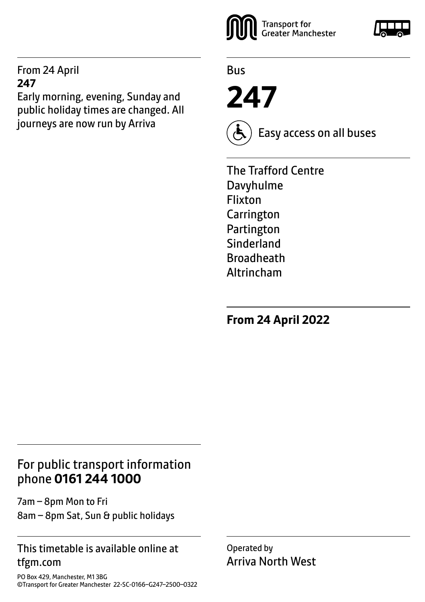### From 24 April **247**

Early morning, evening, Sunday and public holiday times are changed. All journeys are now run by Arriva



Bus

**247**



Easy access on all buses

The Trafford Centre Davyhulme Flixton Carrington Partington Sinderland Broadheath Altrincham

**From 24 April 2022**

# For public transport information phone **0161 244 1000**

7am – 8pm Mon to Fri 8am – 8pm Sat, Sun & public holidays

## This timetable is available online at tfgm.com

PO Box 429, Manchester, M1 3BG ©Transport for Greater Manchester 22-SC-0166–G247–2500–0322 Operated by Arriva North West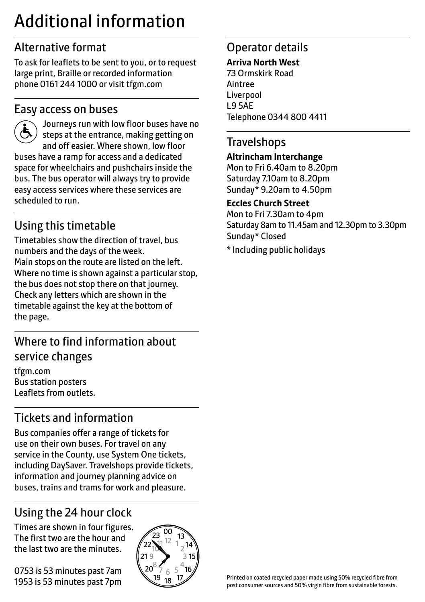# Additional information

# Alternative format

To ask for leaflets to be sent to you, or to request large print, Braille or recorded information phone 0161 244 1000 or visit tfgm.com

# Easy access on buses



 Journeys run with low floor buses have no steps at the entrance, making getting on and off easier. Where shown, low floor buses have a ramp for access and a dedicated space for wheelchairs and pushchairs inside the bus. The bus operator will always try to provide easy access services where these services are scheduled to run.

# Using this timetable

Timetables show the direction of travel, bus numbers and the days of the week. Main stops on the route are listed on the left. Where no time is shown against a particular stop, the bus does not stop there on that journey. Check any letters which are shown in the timetable against the key at the bottom of the page.

# Where to find information about service changes

tfgm.com Bus station posters Leaflets from outlets.

# Tickets and information

Bus companies offer a range of tickets for use on their own buses. For travel on any service in the County, use System One tickets, including DaySaver. Travelshops provide tickets, information and journey planning advice on buses, trains and trams for work and pleasure.

# Using the 24 hour clock

Times are shown in four figures. The first two are the hour and the last two are the minutes.

0753 is 53 minutes past 7am 1953 is 53 minutes past 7pm



# Operator details

#### **Arriva North West**

73 Ormskirk Road Aintree Liverpool L9 5AE Telephone 0344 800 4411

# **Travelshops**

#### **Altrincham Interchange**

Mon to Fri 6.40am to 8.20pm Saturday 7.10am to 8.20pm Sunday\* 9.20am to 4.50pm

#### **Eccles Church Street**

Mon to Fri 7.30am to 4pm Saturday 8am to 11.45am and 12.30pm to 3.30pm Sunday\* Closed

\* Including public holidays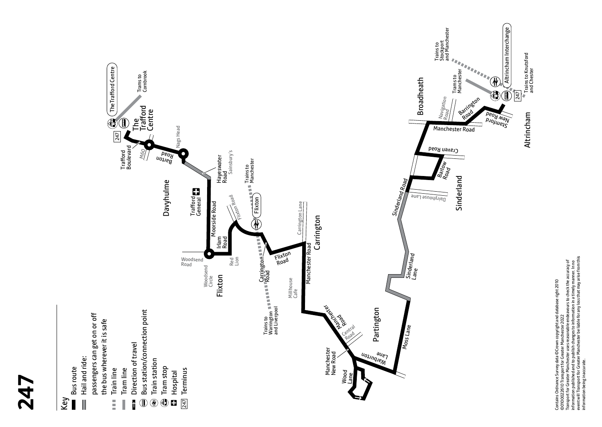

**247**

Contains Ordnance Survey data ©Crown copyright and database right 2010<br>©0100022610 Transport for Greater Manchester 2022<br>Transport for Greater Manchester uses reasonable endeavours to check the accuracy of<br>enternwill Trans event will Transport for Greater Manchester be liable for any loss that may arise from this Transport for Greater Manchester uses reasonable endeavours to check the accuracy of information published and to publish changes to information in a timely manner. In no Contains Ordnance Survey data ©Crown copyright and database right 2010 ©0100022610 Transport for Greater Manchester 2022 information being inaccurate.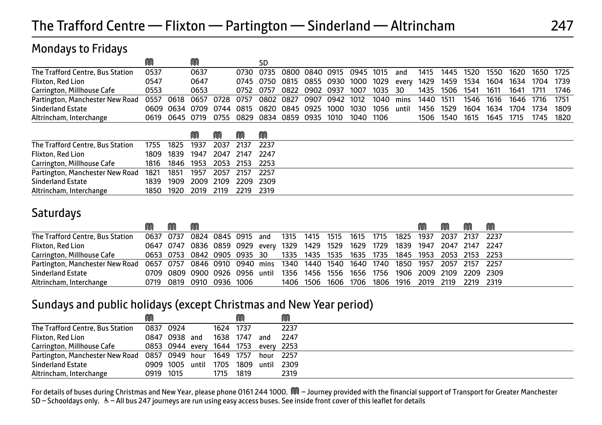### Mondays to Fridays

|                                  | M    |                                              |      |  | SD                                       |                |                |           |           |       |           |           |      |      |      |           |      |
|----------------------------------|------|----------------------------------------------|------|--|------------------------------------------|----------------|----------------|-----------|-----------|-------|-----------|-----------|------|------|------|-----------|------|
| The Trafford Centre, Bus Station | 0537 |                                              | 0637 |  | 0730 0735                                | 0800 0840 0915 |                | 0945 1015 |           | and   | 1415      | 1445 1520 |      | 1550 | 1620 | 1650 1725 |      |
| Flixton, Red Lion                | 0547 |                                              | 0647 |  | 0745 0750 0815 0855 0930 1000 1029 every |                |                |           |           |       | 1429      | 1459 1534 |      | 1604 | 1634 | 1704 1739 |      |
| Carrington, Millhouse Cafe       | 0553 |                                              | 0653 |  | 0752 0757                                | 0822 0902 0937 |                | 1007      | 1035 30   |       | 1435      | 1506 1541 |      | 1611 | 1641 | 1711      | 1746 |
| Partington, Manchester New Road  | 0557 | 0618 0657 0728 0757 0802 0827 0907 0942 1012 |      |  |                                          |                |                |           | 1040 mins |       | 1440 1511 |           | 1546 | 1616 | 1646 | 1716      | 1751 |
| <b>Sinderland Estate</b>         |      | 0609 0634 0709 0744 0815 0820 0845 0925      |      |  |                                          |                | 1000 1030 1056 |           |           | until | 1456 1529 |           | 1604 | 1634 | 1704 | 1734      | 1809 |
| Altrincham, Interchange          |      | 0619 0645 0719 0755 0829 0834 0859 0935      |      |  |                                          |                | 1010           | 1040 1106 |           |       | 1506      | 1540      | 1615 | 1645 | 1715 | 1745      | 1820 |

|                                                                |  | M                             | M | M | M |  |
|----------------------------------------------------------------|--|-------------------------------|---|---|---|--|
| The Trafford Centre, Bus Station 1755 1825 1937 2037 2137 2237 |  |                               |   |   |   |  |
| Flixton, Red Lion                                              |  | 1809 1839 1947 2047 2147 2247 |   |   |   |  |
| Carrington, Millhouse Cafe                                     |  | 1816 1846 1953 2053 2153 2253 |   |   |   |  |
| Partington, Manchester New Road 1821 1851 1957 2057 2157 2257  |  |                               |   |   |   |  |
| <b>Sinderland Estate</b>                                       |  | 1839 1909 2009 2109 2209 2309 |   |   |   |  |
| Altrincham, Interchange                                        |  | 1850 1920 2019 2119 2219 2319 |   |   |   |  |

# **Saturdays**

|                                                                                                                 | ⋒ | m | M |                          |  |                                                                                  |  |  | M | M | m | M |
|-----------------------------------------------------------------------------------------------------------------|---|---|---|--------------------------|--|----------------------------------------------------------------------------------|--|--|---|---|---|---|
| The Trafford Centre, Bus Station                                                                                |   |   |   |                          |  | 0637 0737 0824 0845 0915 and 1315 1415 1515 1615 1715 1825 1937 2037 2137 2237   |  |  |   |   |   |   |
| Flixton, Red Lion                                                                                               |   |   |   |                          |  | 0647 0747 0836 0859 0929 every 1329 1429 1529 1629 1729 1839 1947 2047 2147 2247 |  |  |   |   |   |   |
| Carrington, Millhouse Cafe                                                                                      |   |   |   |                          |  | 0653 0753 0842 0905 0935 30   1335 1435 1535 1635 1735 1845 1953 2053 2153 2253  |  |  |   |   |   |   |
| Partington, Manchester New Road 0657 0757 0846 0910 0940 mins 1340 1440 1540 1640 1740 1850 1957 2057 2157 2257 |   |   |   |                          |  |                                                                                  |  |  |   |   |   |   |
| <b>Sinderland Estate</b>                                                                                        |   |   |   |                          |  | 0709 0809 0900 0926 0956 until 1356 1456 1556 1656 1756 1906 2009 2109 2209 2309 |  |  |   |   |   |   |
| Altrincham, Interchange                                                                                         |   |   |   | 0719 0819 0910 0936 1006 |  | 1406 1506 1606 1706 1806 1916 2019 2119 2219 2319                                |  |  |   |   |   |   |

### Sundays and public holidays (except Christmas and New Year period)

|                                                          | ⋒                                    |  |           | M                         |       | M      |  |
|----------------------------------------------------------|--------------------------------------|--|-----------|---------------------------|-------|--------|--|
| The Trafford Centre, Bus Station                         | 0837 0924                            |  | 1624 1737 |                           |       | 2237   |  |
| Flixton, Red Lion                                        | 0847 0938 and                        |  | 1638 1747 |                           | and   | 2247   |  |
| Carrington, Millhouse Cafe                               | 0853 0944 every 1644 1753 every 2253 |  |           |                           |       |        |  |
| Partington, Manchester New Road 0857 0949 hour 1649 1757 |                                      |  |           |                           | hour  | - 2257 |  |
| <b>Sinderland Estate</b>                                 |                                      |  |           | 0909 1005 until 1705 1809 | until | 2309   |  |
| Altrincham, Interchange                                  | 0919 1015                            |  | 1715      | 1819                      |       | 2319   |  |

For details of buses during Christmas and New Year, please phone 0161 244 1000. M - Journey provided with the financial support of Transport for Greater Manchester SD – Schooldays only. & – All bus 247 journeys are run using easy access buses. See inside front cover of this leaflet for details